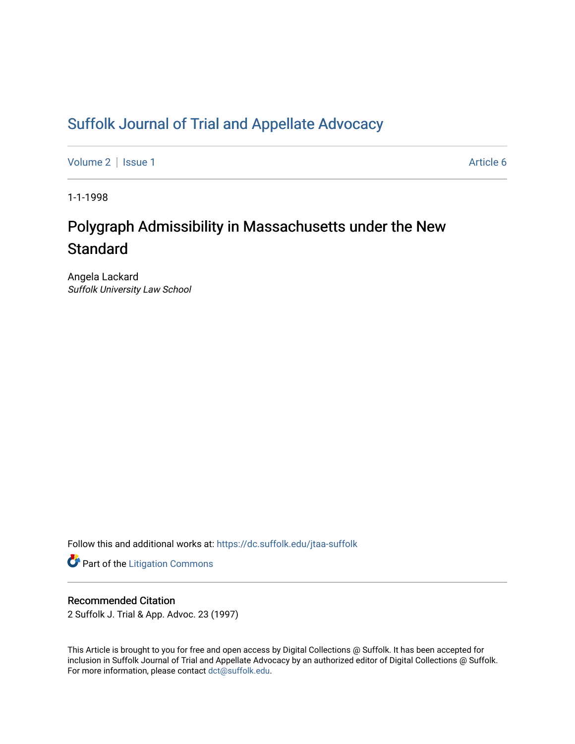## [Suffolk Journal of Trial and Appellate Advocacy](https://dc.suffolk.edu/jtaa-suffolk)

[Volume 2](https://dc.suffolk.edu/jtaa-suffolk/vol2) | [Issue 1](https://dc.suffolk.edu/jtaa-suffolk/vol2/iss1) Article 6

1-1-1998

# Polygraph Admissibility in Massachusetts under the New **Standard**

Angela Lackard Suffolk University Law School

Follow this and additional works at: [https://dc.suffolk.edu/jtaa-suffolk](https://dc.suffolk.edu/jtaa-suffolk?utm_source=dc.suffolk.edu%2Fjtaa-suffolk%2Fvol2%2Fiss1%2F6&utm_medium=PDF&utm_campaign=PDFCoverPages) 

**Part of the [Litigation Commons](https://network.bepress.com/hgg/discipline/910?utm_source=dc.suffolk.edu%2Fjtaa-suffolk%2Fvol2%2Fiss1%2F6&utm_medium=PDF&utm_campaign=PDFCoverPages)** 

## Recommended Citation

2 Suffolk J. Trial & App. Advoc. 23 (1997)

This Article is brought to you for free and open access by Digital Collections @ Suffolk. It has been accepted for inclusion in Suffolk Journal of Trial and Appellate Advocacy by an authorized editor of Digital Collections @ Suffolk. For more information, please contact [dct@suffolk.edu](mailto:dct@suffolk.edu).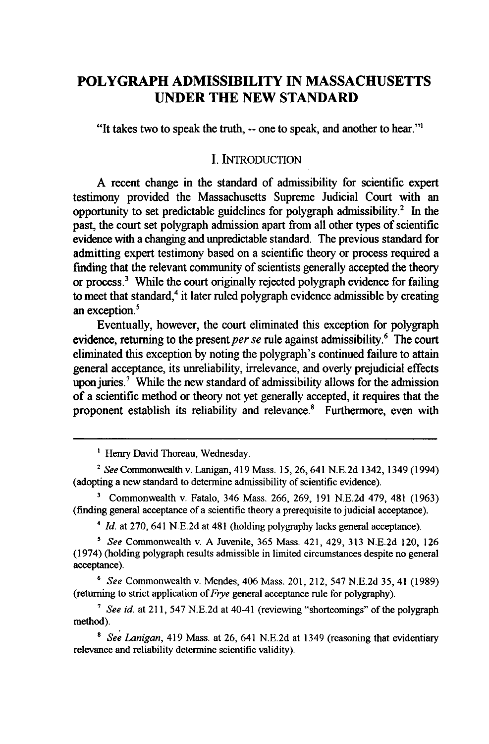## **POLYGRAPH ADMISSIBILITY IN MASSACHUSETTS UNDER THE NEW STANDARD**

"It takes two to speak the truth, **--** one to speak, and another to hear."'

#### I. INTRODUCTION

**A** recent change in the standard of admissibility for scientific expert testimony provided the Massachusetts Supreme Judicial Court with an opportunity to set predictable guidelines for polygraph admissibility.<sup>2</sup> In the past, the court set polygraph admission apart from all other types of scientific evidence with a changing and unpredictable standard. The previous standard for admitting expert testimony based on a scientific theory or process required a finding that the relevant community of scientists generally accepted the theory or process.3 While the court originally rejected polygraph evidence for failing to meet that standard,<sup>4</sup> it later ruled polygraph evidence admissible by creating an exception.<sup>5</sup>

Eventually, however, the court eliminated this exception for polygraph evidence, returning to the present *per se* rule against admissibility.<sup>6</sup> The court eliminated this exception **by** noting the polygraph's continued failure to attain general acceptance, its unreliability, irrelevance, and overly prejudicial effects upon juries.<sup>7</sup> While the new standard of admissibility allows for the admission of a scientific method or theory not yet generally accepted, it requires that the proponent establish its reliability and relevance.<sup>8</sup> Furthermore, even with

<sup>4</sup>*Id.* at 270, 641 N.E.2d at 481 (holding polygraphy lacks general acceptance).

**<sup>6</sup>***See* Commonwealth v. Mendes, 406 Mass. 201, 212, 547 N.E.2d 35, 41 (1989) (returning to strict application of *Frye* general acceptance rule for polygraphy).

**<sup>7</sup>***See id.* at 211, 547 N.E.2d at 40-41 (reviewing "shortcomings" of the polygraph method).

*8 See Lanigan,* 419 Mass. at 26, 641 N.E.2d at 1349 (reasoning that evidentiary relevance and reliability determine scientific validity).

<sup>&</sup>lt;sup>1</sup> Henry David Thoreau, Wednesday.

<sup>&</sup>lt;sup>2</sup> See Commonwealth v. Lanigan, 419 Mass. 15, 26, 641 N.E.2d 1342, 1349 (1994) (adopting a new standard to determine admissibility of scientific evidence).

**<sup>&#</sup>x27;** Commonwealth v. Fatalo, 346 Mass. 266, 269, 191 N.E.2d 479, 481 (1963) (finding general acceptance of a scientific theory a prerequisite to judicial acceptance).

**s** *See* Commonwealth v. A Juvenile, **365** Mass. 421, 429, 313 N.E.2d 120, 126 (1974) (holding polygraph results admissible in limited circumstances despite no general acceptance).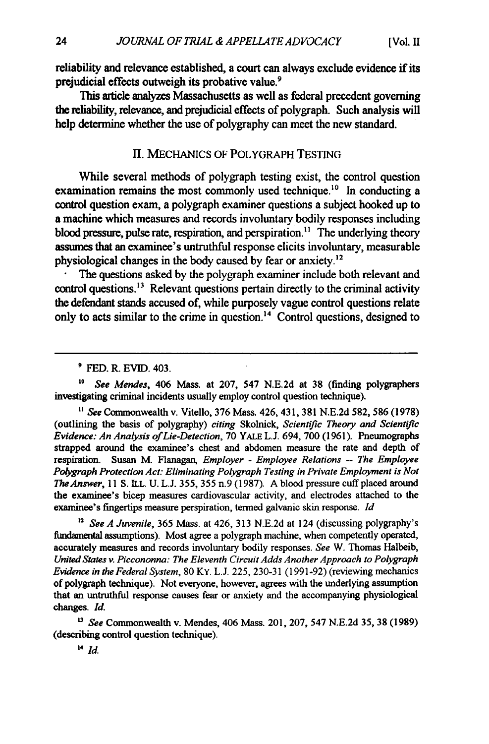reliability and relevance established, a court can always exclude evidence if its prejudicial effects outweigh its probative value.<sup>9</sup>

This article analyzes Massachusetts as well as federal precedent governing the reliability, relevance, and prejudicial effects of polygraph. Such analysis will help determine whether the use of polygraphy can meet the new standard.

#### **II.** MECHANICS OF POLYGRAPH **TESTING**

While several methods of polygraph testing exist, the control question examination remains the most commonly used technique.<sup>10</sup> In conducting a control question exam, a polygraph examiner questions a subject hooked up to a machine which measures and records involuntary bodily responses including blood pressure, pulse rate, respiration, and perspiration.<sup>11</sup> The underlying theory assumes that an examinee's untruthful response elicits involuntary, measurable physiological changes in the body caused **by** fear or anxiety.'<sup>2</sup>

The questions asked **by** the polygraph examiner include both relevant and control questions.  $13$  Relevant questions pertain directly to the criminal activity the defendant stands accused of, while purposely vague control questions relate only to acts similar to the crime in question.'4 Control questions, designed to

**' FED.** R. EVID. 403.

*'0 See Mendes,* 406 Mass. at 207, 547 **N.E.2d** at **38** (finding polygraphers investigating criminal incidents usually employ control question technique).

*"* See Commonwealth v. Vitello, **376** Mass. 426,431, **381 N.E.2d 582, 586 (1978)** (outlining the basis of polygraphy) *citing* Skolnick, Scientific *Theory and Scientific Evidence: An Analysis of Lie-Detection,* **70** YALE **L.J.** 694, **700 (1961).** Pneumographs strapped around the examinee's chest and abdomen measure the rate and depth of respiration. Susan M. Flanagan, *Employer* **-** *Employee Relations* **--** *The Employee Polygraph Protection Act: Eliminating Polygraph Testing in Private Employment is Not TheAnswer,* **11 S. ILL. U. L.J. 355, 355** n.9 **(1987). A** blood pressure cuff placed around the examinee's bicep measures cardiovascular activity, and electrodes attached to the examinee's fingertips measure perspiration, termed galvanic skin response. *Id*

**<sup>32</sup>***See A Juvenile,* **365** Mass. at 426, **313 N.E.2d** at 124 (discussing polygraphy's fundamental assumptions). Most agree a polygraph machine, when competently operated, accurately measures and records involuntary bodily responses. *See* W. Thomas Halbeib, *United States v. Piccononna: The Eleventh Circuit Adds Another Approach to Polygraph Evidence in the Federal System,* **80** KY. **L.J. 225, 230-31 (1991-92)** (reviewing mechanics of polygraph technique). Not everyone, however, agrees with the underlying assumption that an **untruthful** response causes fear or anxiety and the accompanying physiological changes. *Id.*

*See* Commonwealth v. Mendes, 406 Mass. 201, 207, 547 **N.E.2d 35, 38 (1989)** (describing control question technique).

*14 Id.*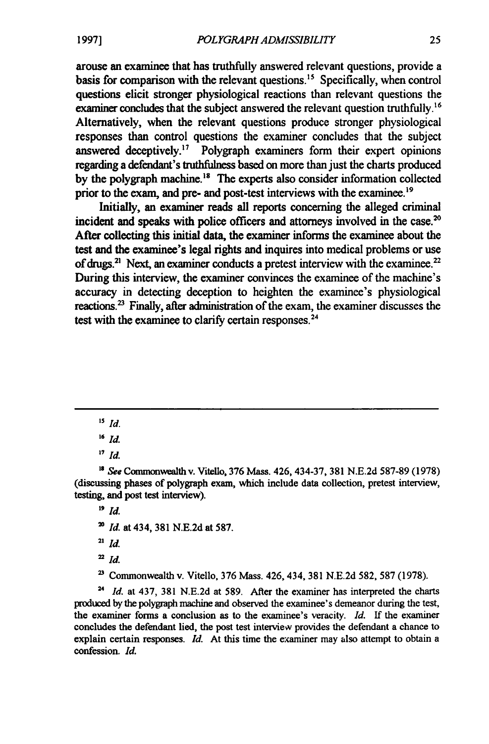arouse an examinee that has truthfully answered relevant questions, provide a basis for comparison with the relevant questions."5 Specifically, when control questions elicit stronger physiological reactions than relevant questions the examiner concludes that the subject answered the relevant question truthfully.<sup>16</sup> Alternatively, when the relevant questions produce stronger physiological responses than control questions the examiner concludes that the subject answered deceptively.<sup>17</sup> Polygraph examiners form their expert opinions regarding a defendant's truthfulness based on more than just the charts produced by the polygraph machine.<sup>18</sup> The experts also consider information collected prior to the exam, and pre- and post-test interviews with the examinee.<sup>19</sup>

Initially, an examiner reads all reports concerning the alleged criminal incident and speaks with police officers and attorneys involved in the case.<sup>20</sup> After collecting this initial data, the examiner informs the examinee about the test and the examinee's legal rights and inquires into medical problems or use of drugs.<sup>21</sup> Next, an examiner conducts a pretest interview with the examinee.<sup>22</sup> During this interview, the examiner convinces the examinee of the machine's accuracy in detecting deception to heighten the examinee's physiological reactions.<sup>23</sup> Finally, after administration of the exam, the examiner discusses the test with the examinee to clarify certain responses.<sup>24</sup>

*" See* Comnonwealth v. Vitello, **376** Mass. 426, 434-37, **381 N.E.2d** 587-89 (1978) (discussing phases of polygraph exam, which include data collection, pretest interview, testing, and post test interview).

**19** *Id.*

- **2'** *Id.* at 434, **381 N.E.2d** at **587.**
- **21** *Id.*
- $22$  *Id.*
- **'** Commonwealth v. Vitello, **376** Mass. 426, 434, **381 N.E.2d 582, 587 (1978).**

**<sup>24</sup>***Id.* at 437, **381 N.E.2d** at **589.** After the examiner has interpreted the charts produced **by** the polygraph machine and observed the examinee's demeanor during the test, the examiner forms a conclusion as to the examinee's veracity. *Id.* **If** the examiner concludes the defendant lied, the post test interview provides the defendant a chance to explain certain responses. *Id.* At this time the examiner may also attempt to obtain a confession. *Id.*

*<sup>15</sup> Id.*

*<sup>1&</sup>quot; Id*

*<sup>17</sup>Id.*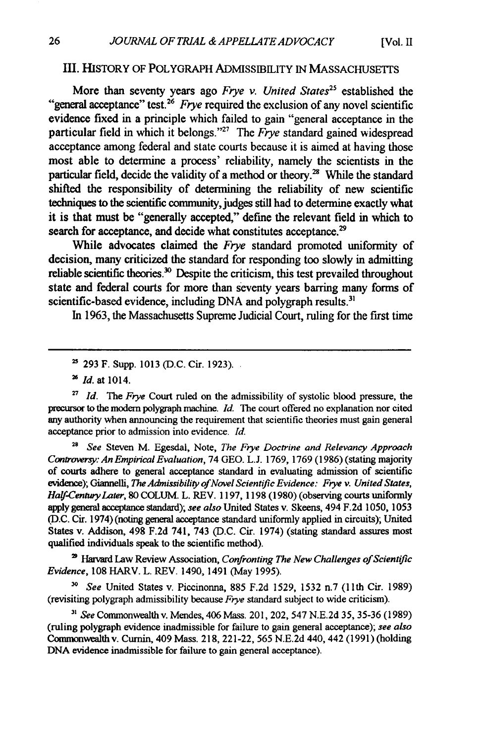#### III. HISTORY OF POLYGRAPH ADMISSIBILITY IN MASSACHUSETTS

More than seventy years ago *Frye v. United States"* established the "general acceptance" test.26 *Frye* required the exclusion of any novel scientific evidence fixed in a principle which failed to gain "general acceptance in the particular field in which it belongs."<sup>27</sup> The *Frye* standard gained widespread acceptance among federal and state courts because it is aimed at having those most able to determine a process' reliability, namely the scientists in the particular field, decide the validity of a method or theory.<sup>28</sup> While the standard shifted the responsibility of determining the reliability of new scientific techniques to the scientific community, judges still had to determine exactly what it is that must be "generally accepted," define the relevant field in which to search for acceptance, and decide what constitutes acceptance.<sup>29</sup>

While advocates claimed the *Frye* standard promoted uniformity of decision, many criticized the standard for responding too slowly in admitting reliable scientific theories.<sup>30</sup> Despite the criticism, this test prevailed throughout state and federal courts for more than seventy years barring many forms of scientific-based evidence, including DNA and polygraph results.<sup>31</sup>

In 1963, the Massachusetts Supreme Judicial Court, ruling for the first time

*Id.* at **1014.**

<sup>27</sup> *Id.* The Frye Court ruled on the admissibility of systolic blood pressure, the precursor to the modem polygraph machine. Id. The court offered no explanation nor cited any authority when announcing the requirement that scientific theories must gain general acceptance prior to admission into evidence. *Id.*

**<sup>28</sup>***See* Steven M. Egesdal, Note, *The Frye Doctrine and Relevancy Approach Controversy: An Empirical Evaluation,* 74 GEO. L.J. 1769, 1769 (1986) (stating majority of courts adhere to general acceptance standard in evaluating admission of scientific evidence); Giannelli, *The Admissibility of Novel Scientific Evidence: Frye v. United States*, *Half-Century Later,* 80 COLUM. L. REV. 1197, 1198 (1980) (observing courts uniformly apply general acceptance standard); *see also* United States v. Skeens, 494 F.2d 1050, 1053 (D.C. Cir. 1974) (noting general acceptance standard uniformly applied in circuits); United States v. Addison, 498 F.2d 741, 743 (D.C. Cir. 1974) (stating standard assures most qualified individuals speak to the scientific method).

<sup>29</sup> Harvard Law Review Association, *Confronting The New Challenges of Scientific Evidence,* **108** HARV. L. REV. 1490, 1491 (May 1995).

*" See* United States v. Piccinonna, **885** F.2d 1529, 1532 n.7 (11th Cir. **1989)** (revisiting polygraph admissibility because *Frye* standard subject to wide criticism).

**a'** *See* Commonwealth v. Mendes, 406 Mass. 201, 202, 547 N.E.2d **35,** 35-36 (1989) (ruling polygraph evidence inadmissible for failure to gain general acceptance); *see also* Commonwealth v. Cumin, 409 Mass. 218, 221-22, 565 N.E.2d 440, 442 (1991) (holding DNA evidence inadmissible for failure to gain general acceptance).

<sup>&</sup>lt;sup>25</sup> 293 F. Supp. 1013 (D.C. Cir. 1923).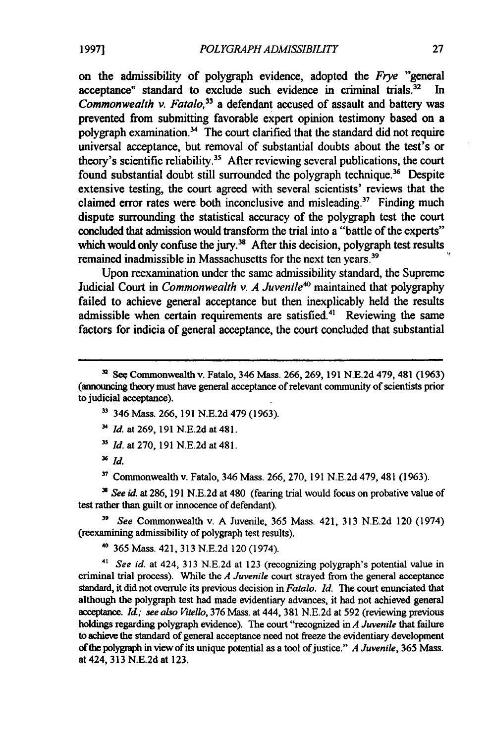on the admissibility of polygraph evidence, adopted the *Frye* "general acceptance" standard to exclude such evidence in criminal trials.<sup>32</sup> In Commonwealth v. Fatalo,*<sup>33</sup>*a defendant accused of assault and battery was prevented from submitting favorable expert opinion testimony based on a polygraph examination. $34$  The court clarified that the standard did not require universal acceptance, but removal of substantial doubts about the test's or theory's scientific reliability.<sup>35</sup> After reviewing several publications, the court found substantial doubt still surrounded the polygraph technique.<sup>36</sup> Despite extensive testing, the court agreed with several scientists' reviews that the claimed error rates were both inconclusive and misleading.<sup>37</sup> Finding much dispute surrounding the statistical accuracy of the polygraph test the court concluded that admission would transform the trial into a "battle of the experts" which would only confuse the jury.<sup>38</sup> After this decision, polygraph test results remained inadmissible in Massachusetts for the next ten years.<sup>39</sup>

Upon reexamination under the same admissibility standard, the Supreme Judicial Court in *Commonwealth v. A Juvenile<sup>40</sup>* maintained that polygraphy failed to achieve general acceptance but then inexplicably held the results admissible when certain requirements are satisfied.<sup>41</sup> Reviewing the same factors for indicia of general acceptance, the court concluded that substantial

- **33** 346 Mass. 266,191 N.E.2d 479 (1963).
- *Id.* at 269, 191 N.E.2d at 481.
- <sup>35</sup> *Id.* at 270, 191 N.E.2d at 481.

*SId.*

**37** Commonwealth v. Fatalo, 346 Mass. 266, 270, 191 N.E.2d 479, 481 (1963).

*N See id.* at 286, 191 N.E.2d at 480 (fearing trial would focus on probative value of test rather than guilt or innocence of defendant).

**3'** *See* Commonwealth v. A Juvenile, 365 Mass. 421, 313 N.E.2d 120 (1974) (reexamining admissibility of polygraph test results).

**<sup>40</sup>**365 Mass. 421, 313 N.E.2d 120 (1974).

<sup>41</sup>*See id.* at 424, 313 N.E.2d at 123 (recognizing polygraph's potential value in criminal trial process). While the *A Juvenile* court strayed from the general acceptance standard, it did not overrule its previous decision in *Fatalo. Id.* The court enunciated that although the polygraph test had made evidentiary advances, it had not achieved general acceptance. *Id.; see also Vitello,* 376 **Mass.** at 444, 381 N.E.2d at 592 (reviewing previous holdings regarding polygraph evidence). The court "recognized in *A Juvenile* that failure to achieve the standard of general acceptance need not freeze the evidentiary development of the polygraph in view of its unique potential as a tool of justice." *A Juvenile*, 365 Mass. at 424, 313 N.E.2d at 123.

<sup>&</sup>lt;sup>2</sup> See Commonwealth v. Fatalo, 346 Mass. 266, 269, 191 N.E.2d 479, 481 (1963) (announcing theory must have general acceptance of relevant community of scientists prior to judicial acceptance).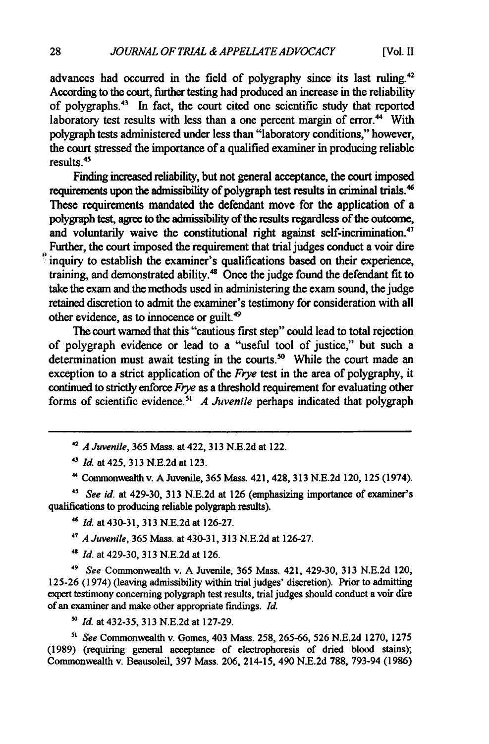advances had occurred in the field of polygraphy since its last ruling.<sup>42</sup> According to the court, further testing had produced an increase in the reliability of polygraphs.<sup>43</sup> In fact, the court cited one scientific study that reported laboratory test results with less than a one percent margin of error.<sup>44</sup> With polygraph tests administered under less than "laboratory conditions," however, the court stressed the importance of a qualified examiner in producing reliable results. $45$ 

Finding increased reliability, but not general acceptance, the court imposed requirements upon the admissibility of polygraph test results in criminal trials.<sup>4</sup> These requirements mandated the defendant move for the application of a polygraph test, agree to the admissibility of the results regardless of the outcome, and voluntarily waive the constitutional right against self-incrimination.<sup>47</sup> Further, the court imposed the requirement that trial judges conduct a voir dire inquiry to establish the examiner's qualifications based on their experience, training, and demonstrated ability.<sup>48</sup> Once the judge found the defendant fit to take the exam and the methods used in administering the exam sound, the judge retained discretion to admit the examiner's testimony for consideration with all other evidence, as to innocence or guilt.<sup>49</sup>

The court warned that this "cautious first step" could lead to total rejection of polygraph evidence or lead to a "useful tool of justice," but such a determination must await testing in the courts.<sup>50</sup> While the court made an exception to a strict application of the *Frye* test in the area of polygraphy, it continued to strictly enforce *Frye* as a threshold requirement for evaluating other forms of scientific evidence.<sup>51</sup> A Juvenile perhaps indicated that polygraph

*<sup>42</sup>A Juvenile,* **365** Mass. at 422, **313 N.E.2d** at 122.

*<sup>43</sup>Id.* at 425, **313 N.E.2d** at **123.**

**"** Commonwealth v. A Juvenile, **365** Mass. 421,428, **313 N.E.2d** 120, **125** (1974).

*4s See id.* at 429-30, **313 N.E.2d** at **126** (emphasizing importance of examiner's qualifications to producing reliable polygraph results).

**"** *Id.* at 430-31, **313 N.E.2d** at **126-27.**

*<sup>47</sup>A Juvenile,* **365** Mass. at 430-31, **313 N.E.2d** at **126-27.**

*<sup>48</sup>Id.* at 429-30, **313 N.E.2d** at 126.

*<sup>49</sup>See* Commonwealth v. A Juvenile, **365** Mass. 421, 429-30, **313 N.E.2d** 120, **125-26** (1974) (leaving admissibility within trial judges' discretion). Prior to admitting expert testimony concerning polygraph test results, trial judges should conduct a voir dire of an examiner and make other appropriate findings. *Id.*

*50 Id.* at 432-35, **313 N.E.2d** at **127-29.**

*"' See* Commonwealth v. Gomes, 403 Mass. **258, 265-66, 526 N.E.2d 1270, 1275** (1989) (requiring general acceptance of electrophoresis of dried blood stains); Commonwealth v. Beausoleil, **397** Mass. 206, 214-15, 490 **N.E.2d** 788, 793-94 **(1986)**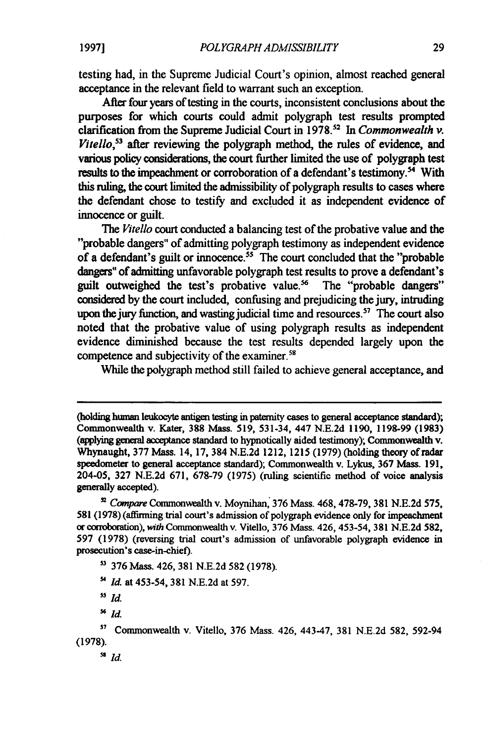testing had, in the Supreme Judicial Court's opinion, almost reached general acceptance in the relevant field to warrant such an exception.

After four years of testing in the courts, inconsistent conclusions about the purposes for which courts could admit polygraph test results prompted clarification from the Supreme Judicial Court in 1978.2 In *Commonwealth v. Vitello,<sup>53</sup>*after reviewing the polygraph method, the rules of evidence, and various policy considerations, the court further limited the use of polygraph test results to the impeachment or corroboration of a defendant's testimony.<sup>54</sup> With this ruling, the court limited the admissibility of polygraph results to cases where the defendant chose to testify and excluded it as independent evidence of innocence or guilt.

*The Vitello* court conducted a balancing test of the probative value and the "probable dangers" of admitting polygraph testimony as independent evidence of a defendant's guilt or innocence.<sup>55</sup> The court concluded that the "probable dangers" of admitting unfavorable polygraph test results to prove a defendant's guilt outweighed the test's probative value.<sup>56</sup> The "probable dangers" considered by the court included, confusing and prejudicing the jury, intruding upon the jury function, and wasting judicial time and resources.<sup>57</sup> The court also noted that the probative value of using polygraph results as independent evidence diminished because the test results depended largely upon the competence and subjectivity of the examiner.<sup>56</sup>

While the polygraph method still failed to achieve general acceptance, and

- a **376** Mass. 426, **381** N.E.2d **582** (1978).
- *Id.* at 453-54, **381** N.E.2d at 597.
- ss *Id.*
- *Id.*

<sup>(</sup>holding human leukocyte antigen testing in paternity cases to general acceptance standard); Commonwealth v. Kater, **388** Mass. 519, 531-34, 447 N.E.2d 1190, 1198-99 (1983) (applying general acceptance standard to hypnotically aided testimony); Commonwealth **v.** Whynaught, **377** Mass. 14, 17, 384 N.E.2d 1212, 1215 (1979) (holding theory of radar speedometer to general acceptance standard); Commonwealth v. Lykus, 367 Mass. 191, 204-05, **327** N.E.2d 671, 678-79 (1975) (ruling scientific method of voice analysis generally accepted).

**<sup>&#</sup>x27;** Compare Commonwealth v. Moynihan, 376 Mass. 468, 478-79, **381** N.E.2d 575, **581** (1978) (affirming trial court's admission of polygraph evidence only for impeachment or condboration), **with** Commonwealth v. Vitello, 376 Mass. 426, 453-54, **381** N.E.2d 582, 597 (1978) (reversing trial court's admission of unfavorable polygraph evidence in prosecution's case-in-chief).

**s,** Commonwealth v. Vitello, 376 Mass. 426, 443-47, 381 N.E.2d 582, 592-94 (1978).

*<sup>58</sup>id.*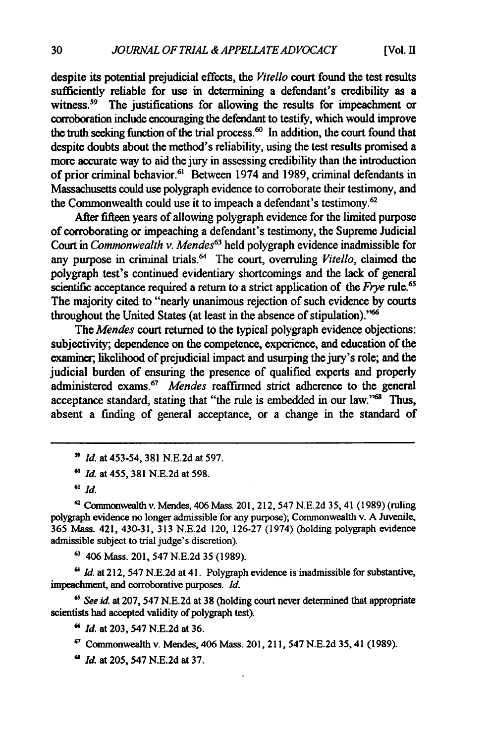despite its potential prejudicial effects, the *Vitello* court found the test results sufficiently reliable for use in determining a defendant's credibility as a witness.<sup>59</sup> The justifications for allowing the results for impeachment or corroboration include encouraging the defendant to testify, which would improve the truth seeking function of the trial process.<sup>60</sup> In addition, the court found that despite doubts about the method's reliability, using the test results promised a more accurate way to aid the jury in assessing credibility than the introduction of prior criminal behavior.<sup>61</sup> Between 1974 and 1989, criminal defendants in Massachusetts could use polygraph evidence to corroborate their testimony, and the Commonwealth could use it to impeach a defendant's testimony.<sup>62</sup>

After fifteen years of allowing polygraph evidence for the limited purpose of corroborating or impeaching a defendant's testimony, the Supreme Judicial Court in *Commonwealth v. Mendes63* held polygraph evidence inadmissible for any purpose in criminal trials.<sup>64</sup> The court, overruling *Vitello*, claimed the polygraph test's continued evidentiary shortcomings and the lack of general scientific acceptance required a return to a strict application of the *Frye* rule.<sup>6</sup> The majority cited to "nearly unanimous rejection of such evidence **by** courts throughout the United States (at least in the absence of stipulation)."

The *Mendes* court returned to the typical polygraph evidence objections: subjectivity; dependence on the competence, experience, and education of the examiner; likelihood of prejudicial impact and usurping the jury's role; and the judicial burden of ensuring the presence of qualified experts and properly administered exams.<sup>67</sup> Mendes reaffirmed strict adherence to the general acceptance standard, stating that "the rule is embedded in our law."<sup>68</sup> Thus, absent a finding of general acceptance, or a change in the standard of

*" Id.* at 453-54, **381 N.E.2d** at 597.

*'0 Id.* at 455, **381 N.E.2d** at 598.

**-** Commonwealth v. Mendes, 406 Mass. 201, 212, 547 N.E.2d **35,** 41 (1989) (ruling polygraph evidence no longer admissible for any purpose); Commonwealth v. A Juvenile, **365** Mass. 421, 430-31, **313** N.E.2d 120, 126-27 (1974) (holding polygraph evidence admissible subject to trial judge's discretion).

**<sup>63</sup>**406 Mass. 201, 547 N.E.2d **35** (1989).

*"Id.* at 212, 547 N.E.2d at 41. Polygraph evidence is inadmissible for substantive, impeachment, and corroborative purposes. *Id.*

**6"** *See* **i.** at **207,** 547 **N.E.2d** at **38** (holding court never determined that appropriate scientists **had** accepted validity of polygraph test).

*Id.* at **203,** 547 **N.E.2d** at **36.**

Commonwealth v. Mendes, 406 Mass. 201, 211, 547 **N.E.2d** 35,41 **(1989).**

**"** *Id.* at **205,** 547 **N.E.2d** at **37.**

**<sup>61</sup>** *Id.*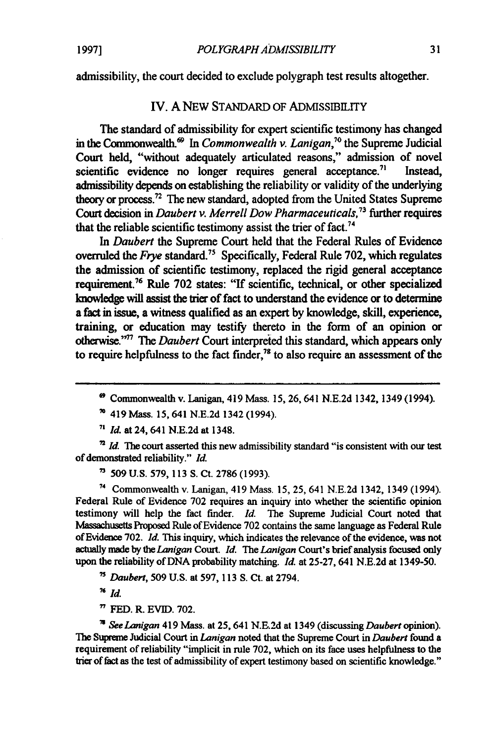admissibility, the court decided to exclude polygraph test results altogether.

#### IV. A NEW STANDARD OF ADMISSIBILITY

The standard of admissibility for expert scientific testimony has changed in the Commonwealth.<sup>69</sup> In *Commonwealth v. Lanigan*,<sup>70</sup> the Supreme Judicial Court held, "without adequately articulated reasons," admission of novel scientific evidence no longer requires general acceptance.<sup>71</sup> Instead, admissibility depends on establishing the reliability or validity of the underlying theory or process.<sup>72</sup> The new standard, adopted from the United States Supreme Court decision **in** *Daubert v. Merrell Dow Pharmaceuticals,"<sup>3</sup>*further requires that the reliable scientific testimony assist the trier of fact.<sup>74</sup>

*In Daubert* the Supreme Court held that the Federal Rules of Evidence overruled the *Frye* standard." Specifically, Federal Rule **702,** which regulates the admission of scientific testimony, replaced the rigid general acceptance requirement.76 Rule **702** states: "If scientific, technical, or other specialized knowledge will assist the trier of fact to understand the evidence or to determine a **fact** in issue, a witness qualified as an expert **by** knowledge, skill, experience, training, or education may testify thereto in the form of an opinion or otherwise."<sup>77</sup> The *Daubert* Court interpreted this standard, which appears only to require helpfulness to the fact finder,<sup>78</sup> to also require an assessment of the

**<sup>71</sup>***Id.* at 24, 641 **N.E.2d** at 1348.

<sup>2</sup> *Id.* The court asserted this new admissibility standard "is consistent with our test of demonstrated reliability." *Id.*

**<sup>7</sup>509 U.S. 579, 113 S.** Ct. **2786 (1993).**

<sup>74</sup>Commonwealth v. Lanigan, 419 Mass. **15, 25,** 641 **N.E.2d** 1342, 1349 (1994). Federal Rule of Evidence **702** requires an inquiry into whether the scientific opinion testimony will help the fact finder. *Id.* The Supreme Judicial Court noted that Massachusetts Proposed Rule of Evidence **702** contains the same language as Federal Rule of Evidence **702.** *Id.* This inquiry, which indicates the relevance of the evidence, was not actually made by the *Lanigan* Court. *Id. The Lanigan* Court's brief analysis focused only upon the reliability of **DNA** probability matching. *Id.* at **25-27,** 641 **N.E.2d** at 1349-50.

- **7'** *Daubert,* **509 U.S.** at 597, **113** S. Ct. at 2794.
- **76** *Id.*
- **<sup>7</sup>FED.** R. **EVID. 702.**

*'See Lanigan* 419 Mass. at **25,** 641 **N.E.2d** at 1349 (discussing *Daubert* opinion). The Supreme Judicial Court in **Lanigan** noted that the Supreme Court in *Daubert* found a requirement of reliability "implicit in rule **702,** which on its face uses helpfulness to the trier of fact as the test of admissibility of expert testimony based on scientific knowledge."

**<sup>\*</sup>** Commonwealth v. Lanigan, 419 Mass. **15, 26,** 641 **N.E.2d** 1342, 1349 (1994).

**<sup>70</sup>**419 Mass. 15, 641 **N.E.2d** 1342 (1994).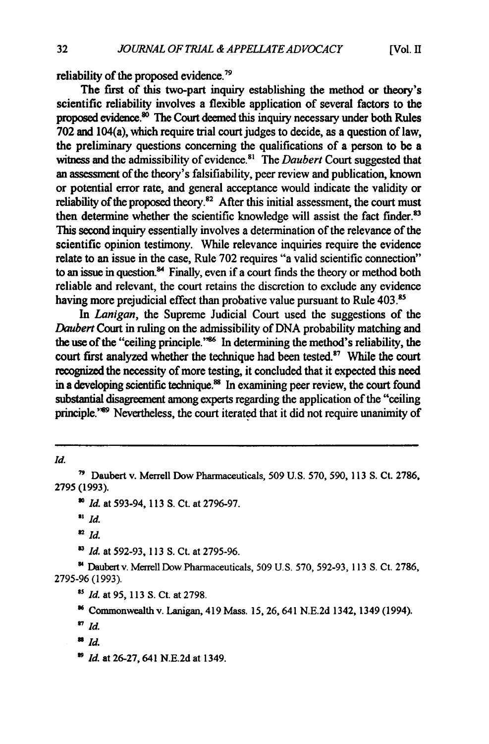reliability of the proposed evidence.<sup>79</sup>

The first of this two-part inquiry establishing the method or theory's scientific reliability involves a flexible application of several factors to the proposed evidence. $\frac{30}{10}$  The Court deemed this inquiry necessary under both Rules **702** and 104(a), which require trial court judges to decide, as a question of law, the preliminary questions concerning the qualifications of a person to be a witness and the admissibility of evidence.<sup>81</sup> The *Daubert* Court suggested that an assessment of the theory's falsifiability, peer review and publication, known or potential error rate, and general acceptance would indicate the validity or reliability of the proposed theory.<sup>82</sup> After this initial assessment, the court must then determine whether the scientific knowledge will assist the fact finder.<sup>83</sup> This second inquiry essentially involves a determination of the relevance of the scientific opinion testimony. While relevance inquiries require the evidence relate to an issue in the case, Rule **702** requires "a valid scientific connection" to an issue in question.<sup>84</sup> Finally, even if a court finds the theory or method both reliable and relevant, the court retains the discretion to exclude any evidence having more prejudicial effect than probative value pursuant to Rule 403.<sup>85</sup>

In *Lanigan*, the Supreme Judicial Court used the suggestions of the *Daubert* Court in ruling on the admissibility of DNA probability matching and the use of the "ceiling principle."<sup>86</sup> In determining the method's reliability, the court first analyzed whether the technique had been tested.<sup>87</sup> While the court recognized the necessity of more testing, it concluded that it expected this need in a developing scientific technique.<sup>88</sup> In examining peer review, the court found substantial disagreement among **experts** regarding the application of the "ceiling principle.<sup>289</sup> Nevertheless, the court iterated that it did not require unanimity of

*Id.*

*<sup>83</sup>Id.* at 592-93, **113** S. Ct. at 2795-96.

**'4** Daubert v. Merrell Dow Pharmaceuticals, **509** U.S. **570,** 592-93, 113 S. Ct. **2786,** 2795-96 (1993).

<sup>88</sup> Id.

**<sup>&</sup>quot;'** Daubert v. Merrell Dow Pharmaceuticals, 509 U.S. 570, 590, **113** S. Ct. **2786,** 2795 (1993).

*Id.* at 593-94, **113** S. Ct. at 2796-97.

 $\mathbf{H}$  *Id.* 

**<sup>82</sup>***Id.*

*s' Id.* at **95, 113 S.** Ct. at **2798.**

**<sup>&#</sup>x27;4** Commonwealth v. Lanigan, 419 Mass. **15,** 26, 641 N.E.2d 1342, 1349 (1994).

*<sup>7</sup> id.*

**<sup>&</sup>quot;** *Id.* at 26-27, 641 N.E.2d at 1349.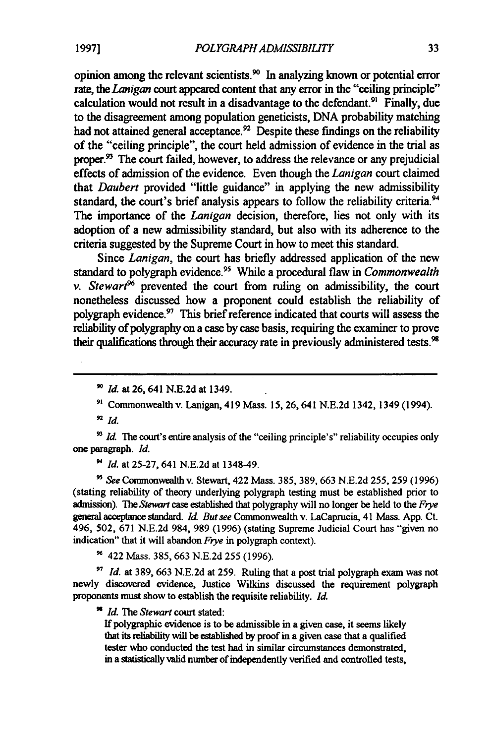opinion among the relevant scientists.<sup>90</sup> In analyzing known or potential error rate, the *Lanigan* court appeared content that any error in the "ceiling principle" calculation would not result in a disadvantage to the defendant.<sup>91</sup> Finally, due to the disagreement among population geneticists, DNA probability matching had not attained general acceptance.<sup>92</sup> Despite these findings on the reliability of the "ceiling principle", the court held admission of evidence in the trial as proper.<sup>93</sup> The court failed, however, to address the relevance or any prejudicial effects of admission of the evidence. Even though the *Lanigan* court claimed that *Daubert* provided "little guidance" in applying the new admissibility standard, the court's brief analysis appears to follow the reliability criteria.<sup>94</sup> The importance of the *Lanigan* decision, therefore, lies not only with its adoption of a new admissibility standard, but also with its adherence to the criteria suggested by the Supreme Court in how to meet this standard.

Since Lanigan, the court has briefly addressed application of the new standard to polygraph evidence.95 While a procedural flaw in *Commonwealth v. Stewart*<sup> $\delta$ </sup> prevented the court from ruling on admissibility, the court nonetheless discussed how a proponent could establish the reliability of polygraph evidence.97 This brief reference indicated that courts will assess the reliability of polygraphy on a case by case basis, requiring the examiner to prove their qualifications through their accuracy rate in previously administered tests.<sup>98</sup>

<sup>93</sup> *Id.* The court's entire analysis of the "ceiling principle's" reliability occupies only one paragraph. *Id.*

*Id.* at 25-27, 641 N.E.2d at 1348-49.

*See* Commonwealth v. Stewart, 422 Mass. 385, 389, 663 N.E.2d 255, 259 (1996) (stating reliability of theory underlying polygraph testing must be established prior to admission). The *Stewart* case established that polygraphy will no longer be held to the *Frye* general acceptance standard. *Id. But see* Commonwealth v. LaCaprucia, 41 Mass. App. Ct. 496, 502, 671 N.E.2d 984, 989 (1996) (stating Supreme Judicial Court has "given no indication" that it will abandon *Frye* in polygraph context).

**9** 422 Mass. 385, 663 N.E.2d 255 (1996).

*'7 Id.* at 389, 663 N.E.2d at 259. Ruling that a post trial polygraph exam was not newly discovered evidence, Justice Wilkins discussed the requirement polygraph proponents must show to establish the requisite reliability. *Id.*

*Id. The* Stewart court stated:

If polygraphic evidence is to be admissible in a given case, it seems likely that its reliability will be established by proof in a given case that a qualified tester who conducted the test had in similar circumstances demonstrated, in a statistically valid number of independently verified and controlled tests,

*<sup>&#</sup>x27;o Id.* at **26,** 641 N.E.2d at 1349.

**<sup>&</sup>quot;'** Commonwealth v. Lanigan, 419 Mass. 15, 26, 641 N.E.2d 1342, 1349 (1994).

**<sup>92</sup>** *id.*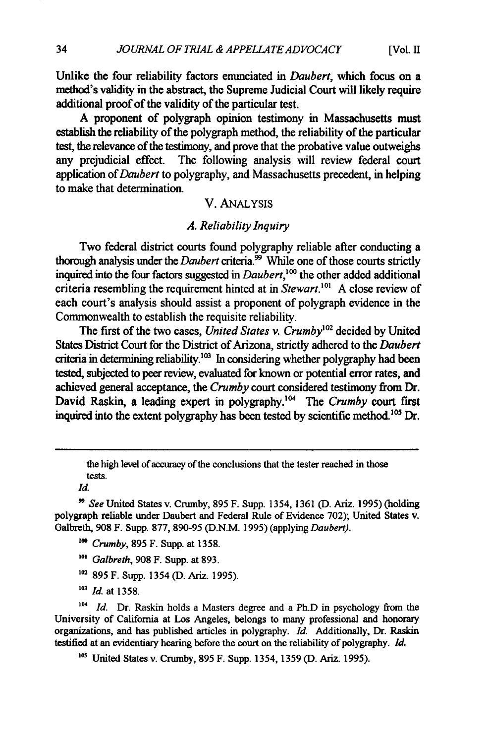Unlike the four reliability factors enunciated in *Daubert,* which focus on a method's validity in the abstract, the Supreme Judicial Court will likely require additional proof of the validity of the particular test.

**A** proponent of polygraph opinion testimony in Massachusetts must establish the reliability of the polygraph method, the reliability of the particular test, the relevance of the testimony, and prove that the probative value outweighs any prejudicial effect. The following analysis will review federal court application of *Daubert* to polygraphy, and Massachusetts precedent, in helping to make that determination.

#### V. ANALYSIS

#### *A. Reliability Inquiry*

Two federal district courts found polygraphy reliable after conducting a thorough analysis under the *Daubert* criteria.<sup>99</sup> While one of those courts strictly inquired into the four factors suggested in *Daubert,' °* the other added additional criteria resembling the requirement hinted at in *Stewart*.<sup>101</sup> A close review of each court's analysis should assist a proponent of polygraph evidence in the Commonwealth to establish the requisite reliability.

The first of the two cases, *United States v. Crumby<sup>0</sup> <sup>2</sup>*decided **by** United States District Court for the District of Arizona, strictly adhered to the *Daubert* criteria in determining reliability.<sup>103</sup> In considering whether polygraphy had been tested, subjected to peer review, evaluated for known or potential error rates, and achieved general acceptance, the *Crumby* court considered testimony from Dr. David Raskin, a leading expert in polygraphy.<sup>104</sup> The *Crumby* court first inquired into the extent polygraphy has been tested by scientific method.<sup>105</sup> Dr.

*Id.*

- *"0 Crumby,* 895 F. Supp. at 1358.
- *'0' Galbreth,* 908 F. Supp. at 893.
- **'02** 895 F. Supp. 1354 (D. Ariz. 1995).
- *<sup>103</sup>Id.* at 1358.

<sup>104</sup> *Id.* Dr. Raskin holds a Masters degree and a Ph.D in psychology from the University of California at Los Angeles, belongs to many professional and honorary organizations, and has published articles in polygraphy. *Id.* Additionally, Dr. Raskin testified at an evidentiary hearing before the court on the reliability of polygraphy. *Id.*

**'03** United States v. Crumby, 895 F. Supp. 1354, 1359 (D. Ariz. 1995).

the high level of accuracy of the conclusions that the tester reached in those tests.

*<sup>&</sup>quot; See* United States v. Crumby, 895 F. Supp. 1354, 1361 (D. Ariz. 1995) (holding polygraph reliable under Daubert and Federal Rule of Evidence 702); United States v. Galbreth, 908 F. Supp. 877, 890-95 (D.N.M. 1995) (applying *Daubert).*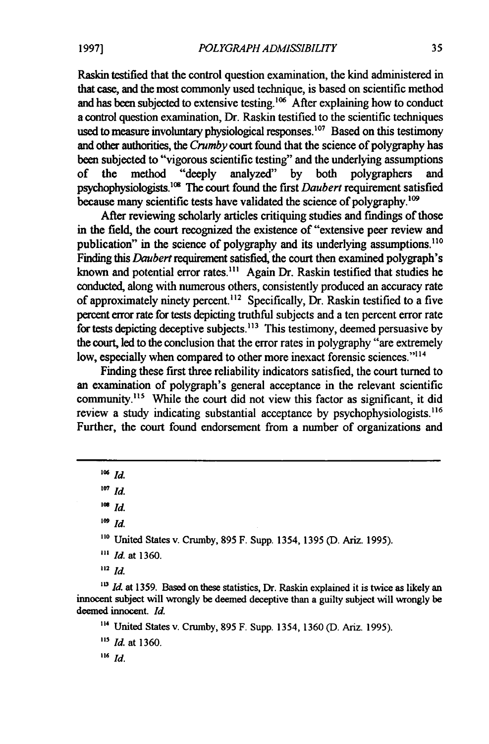Raskin testified that the control question examination, the kind administered in that case, and the most commonly used technique, is based on scientific method and has been subjected to extensive testing.<sup>106</sup> After explaining how to conduct a control question examination, Dr. Raskin testified to the scientific techniques used to measure involuntary physiological responses.<sup>107</sup> Based on this testimony and other authorities, the *Crumby* court found that the science of polygraphy has been subjected to "vigorous scientific testing" and the underlying assumptions of the method "deeply analyzed" by both polygraphers and psychophysiologists.<sup>108</sup> The court found the first *Daubert* requirement satisfied because many scientific tests have validated the science of polygraphy.<sup>109</sup>

After reviewing scholarly articles critiquing studies and findings of those in the field, the court recognized the existence of "extensive peer review and publication" in the science of polygraphy and its underlying assumptions.<sup>110</sup> Finding this *Daubert* requirement satisfied, the court then examined polygraph's known and potential error rates."' Again Dr. Raskin testified that studies he conducted, along with numerous others, consistently produced an accuracy rate of approximately ninety percent.<sup>112</sup> Specifically, Dr. Raskin testified to a five percent error rate for tests depicting truthful subjects and a ten percent error rate for tests depicting deceptive subjects.<sup>113</sup> This testimony, deemed persuasive by the court, led to the conclusion that the error rates in polygraphy "are extremely low, especially when compared to other more inexact forensic sciences."<sup>114</sup>

Finding these first three reliability indicators satisfied, the court turned to an examination of polygraph's general acceptance in the relevant scientific community.<sup>115</sup> While the court did not view this factor as significant, it did review a study indicating substantial acceptance by psychophysiologists.<sup>116</sup> Further, the court found endorsement from a number of organizations and

 $^{106}$  *Id.* 

<sup>107</sup> *Id.* 

*108 Id.*

*109 Id.*

**110** United States v. Crumby, **895** F. Supp. 1354, **1395 (D.** Ariz. **1995).**

**"'** *Id.* at **1360.**

**<sup>112</sup>***Id.*

<sup>113</sup> *Id.* at 1359. Based on these statistics, Dr. Raskin explained it is twice as likely an innocent subject will wrongly be deemed deceptive than a guilty subject will wrongly be deemed innocent. *Id.*

**"4** United States v. Crumby, **895** F. Supp. 1354, **1360 (D.** Ariz. **1995).**

*13 Id.* at **1360.**

*<sup>116</sup>Id.*

**1997]**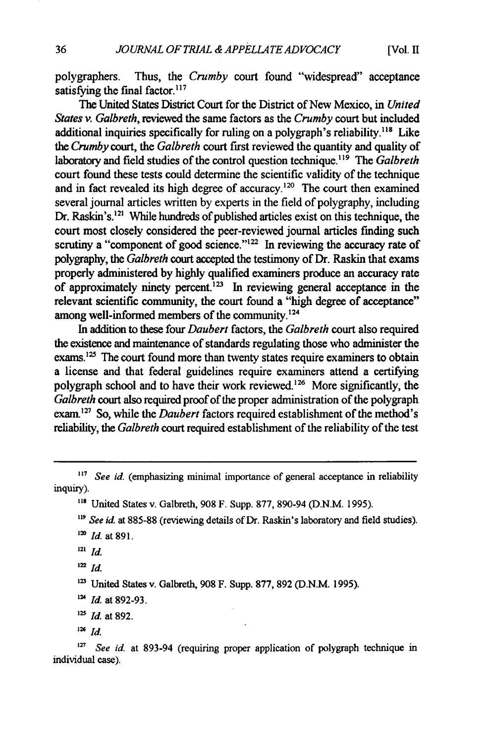polygraphers. Thus, the *Crumby* court found "widespread" acceptance satisfying the final factor. $117$ 

The United States District Court for the District of New Mexico, in *United States v. Galbreth,* reviewed the same factors as the *Crumby* court but included additional inquiries specifically for ruling on a polygraph's reliability.<sup>118</sup> Like *the Crumby* court, the *Galbreth* court first reviewed the quantity and quality of laboratory and field studies of the control question technique.<sup>119</sup> The *Galbreth* court found these tests could determine the scientific validity of the technique and in fact revealed its high degree of accuracy.<sup>120</sup> The court then examined several journal articles written by experts in the field of polygraphy, including Dr. Raskin's.<sup>121</sup> While hundreds of published articles exist on this technique, the court most closely considered the peer-reviewed journal articles finding such scrutiny a "component of good science."<sup>122</sup> In reviewing the accuracy rate of polygraphy, the *Galbreth* court accepted the testimony of Dr. Raskin that exams properly administered by highly qualified examiners produce an accuracy rate of approximately ninety percent.<sup>123</sup> In reviewing general acceptance in the relevant scientific community, the court found a "high degree of acceptance" among well-informed members of the community.<sup>124</sup>

In addition to these four *Daubert* factors, the *Galbreth* court also required the existence and maintenance of standards regulating those who administer the exams.<sup>125</sup> The court found more than twenty states require examiners to obtain a license and that federal guidelines require examiners attend a certifying polygraph school and to have their work reviewed.<sup>126</sup> More significantly, the *Galbreth* court also required proof of the proper administration of the polygraph exam.<sup>127</sup> So, while the *Daubert* factors required establishment of the method's reliability, the *Galbreth* court required establishment of the reliability of the test

**<sup>123</sup>**United States v. Galbreth, **908** F. Supp. **877, 892 (D.N.M. 1995).**

**<sup>127</sup>**See id. at **893-94** (requiring proper application of polygraph technique in individual case).

**<sup>11</sup>***See id.* (emphasizing minimal importance of general acceptance in reliability inquiry).

**<sup>118</sup>**United States v. Galbreth, 908 F. Supp. 877, 890-94 (D.N.M. 1995).

<sup>&</sup>lt;sup>119</sup> See id. at 885-88 (reviewing details of Dr. Raskin's laboratory and field studies).

<sup>&</sup>lt;sup>120</sup> *Id.* at 891.

<sup>121</sup> **Id.**

 $122 \, Id.$ 

<sup>&</sup>lt;sup>124</sup> *Id.* at 892-93.

<sup>&</sup>lt;sup>125</sup> *Id.* at 892.

**<sup>126</sup>** Id.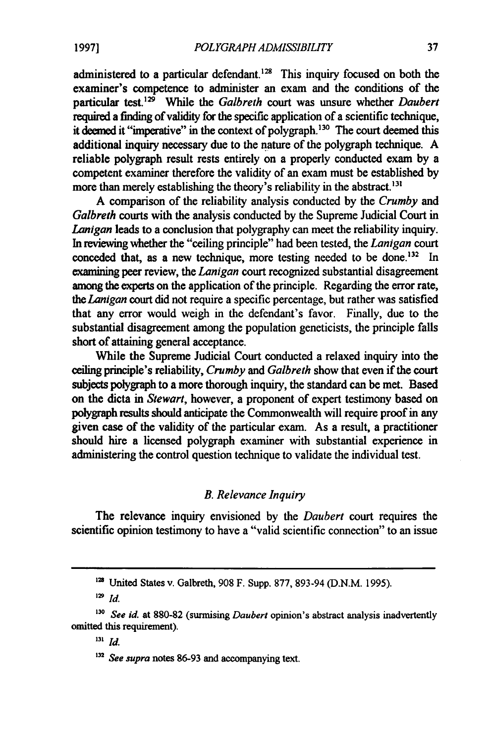administered to a particular defendant.<sup>128</sup> This inquiry focused on both the examiner's competence to administer an exam and the conditions of the particular test.<sup>129</sup> While the *Galbreth* court was unsure whether *Daubert* required a finding of validity for the specific application of a scientific technique, it deemed it "imperative" in the context of polygraph.<sup>130</sup> The court deemed this additional inquiry necessary due to the nature of the polygraph technique. **A** reliable polygraph result rests entirely on a properly conducted exam **by** a competent examiner therefore the validity of an exam must be established **by** more than merely establishing the theory's reliability in the abstract.<sup>131</sup>

A comparison of **the** reliability analysis conducted **by** the *Crumby and Galbreth* courts with the analysis conducted **by** the Supreme Judicial Court in *Lanigan* leads to a conclusion that polygraphy can meet the reliability inquiry. In reviewing whether the "ceiling principle" had been tested, the *Lanigan court* conceded that, as a new technique, more testing needed to be done.<sup>132</sup> In examining peer review, the *Lanigan* court recognized substantial disagreement among the experts on the application of the principle. Regarding the error rate, *the Lanigan* court did not require a specific percentage, but rather was satisfied that any error would weigh in the defendant's favor. Finally, due to the substantial disagreement among the population geneticists, the principle falls short of attaining general acceptance.

While the Supreme Judicial Court conducted a relaxed inquiry into the ceiling principle's reliability, *Crumby and Galbreth* show that even if the court subjects polygraph to a more thorough inquiry, the standard can be met. Based on the dicta in *Stewart,* however, a proponent of expert testimony based on polygraph results should anticipate the Commonwealth will require proof in any given case of the validity of the particular exam. As a result, a practitioner should hire a licensed polygraph examiner with substantial experience in administering the control question technique to validate the individual test.

#### *B. Relevance Inquiry*

The relevance inquiry envisioned by the *Daubert* court requires the scientific opinion testimony to have a "valid scientific connection" to an issue

**'2'** United States v. Galbreth, 908 F. Supp. 877, 893-94 (D.N.M. 1995).

**<sup>129</sup>***Id.*

*<sup>130</sup>See id.* at 880-82 (surmising Daubert opinion's abstract analysis inadvertently omitted this requirement).

**<sup>131</sup>***Id.*

**<sup>132</sup>***See supra* notes **86-93** and accompanying text.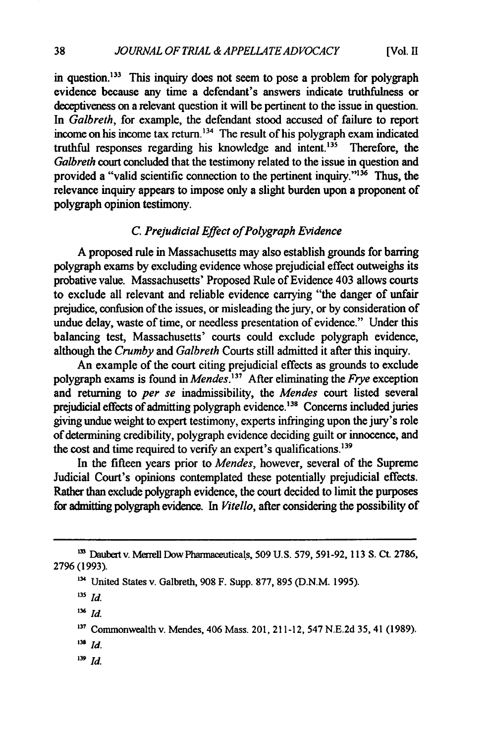in question.<sup>133</sup> This inquiry does not seem to pose a problem for polygraph evidence because any time a defendant's answers indicate truthfulness or deceptiveness on a relevant question it will be pertinent to the issue in question. In *Galbreth,* for example, the defendant stood accused of failure to report income on his income tax return.<sup>134</sup> The result of his polygraph exam indicated truthful responses regarding his knowledge and intent.<sup>135</sup> Therefore, the *Galbreth* court concluded that the testimony related to the issue in question and provided a "valid scientific connection to the pertinent inquiry." $136$  Thus, the relevance inquiry appears to impose only a slight burden upon a proponent of polygraph opinion testimony.

### *C Prejudicial Effect of Polygraph Evidence*

**A** proposed rule in Massachusetts may also establish grounds for barring polygraph exams **by** excluding evidence whose prejudicial effect outweighs its probative value. Massachusetts' Proposed Rule of Evidence 403 allows courts to exclude all relevant and reliable evidence carrying "the danger of unfair prejudice, confusion of the issues, or misleading the jury, or **by** consideration of undue delay, waste of time, or needless presentation of evidence." Under this balancing test, Massachusetts' courts could exclude polygraph evidence, although the *Crumby and Galbreth* Courts still admitted it after this inquiry.

An example of the court citing prejudicial effects as grounds to exclude polygraph exams is found in *Mendes' <sup>37</sup>*After eliminating the *Frye* exception and returning to *per se* inadmissibility, the *Mendes* court listed several prejudicial effects of admitting polygraph evidence.<sup>138</sup> Concerns included juries giving undue weight to expert testimony, experts infringing upon the jury's role of determining credibility, polygraph evidence deciding guilt or innocence, and the cost and time required to verify an expert's qualifications.<sup>139</sup>

In the fifteen years prior to *Mendes,* however, several of the Supreme Judicial Court's opinions contemplated these potentially prejudicial effects. Rather than exclude polygraph evidence, the court decided to limit the purposes for admitting polygraph evidence. In *Vitello,* after considering the possibility of

 $136$  *Id.* 

- **138** *Id.*
- **'39** Id.

<sup>&</sup>lt;sup>133</sup> Daubert v. Merrell Dow Pharmaceuticals, 509 U.S. 579, 591-92, 113 S. Ct. 2786, **2796 (1993).**

**<sup>&</sup>quot;** United States v. Galbreth, **908** F. Supp. **877, 895 (D.N.M. 1995).**

**<sup>135</sup>** *Id.*

**<sup>&#</sup>x27;37** Commonwealth v. Mendes, 406 Mass. 201, 211-12, 547 N.E.2d **35,** 41 (1989).